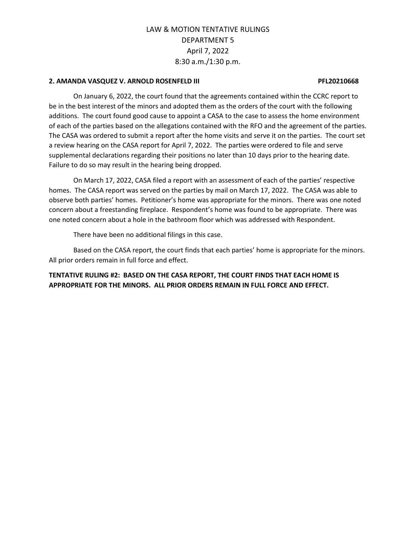### **2. AMANDA VASQUEZ V. ARNOLD ROSENFELD III PFL20210668**

On January 6, 2022, the court found that the agreements contained within the CCRC report to be in the best interest of the minors and adopted them as the orders of the court with the following additions. The court found good cause to appoint a CASA to the case to assess the home environment of each of the parties based on the allegations contained with the RFO and the agreement of the parties. The CASA was ordered to submit a report after the home visits and serve it on the parties. The court set a review hearing on the CASA report for April 7, 2022. The parties were ordered to file and serve supplemental declarations regarding their positions no later than 10 days prior to the hearing date. Failure to do so may result in the hearing being dropped.

On March 17, 2022, CASA filed a report with an assessment of each of the parties' respective homes. The CASA report was served on the parties by mail on March 17, 2022. The CASA was able to observe both parties' homes. Petitioner's home was appropriate for the minors. There was one noted concern about a freestanding fireplace. Respondent's home was found to be appropriate. There was one noted concern about a hole in the bathroom floor which was addressed with Respondent.

There have been no additional filings in this case.

Based on the CASA report, the court finds that each parties' home is appropriate for the minors. All prior orders remain in full force and effect.

**TENTATIVE RULING #2: BASED ON THE CASA REPORT, THE COURT FINDS THAT EACH HOME IS APPROPRIATE FOR THE MINORS. ALL PRIOR ORDERS REMAIN IN FULL FORCE AND EFFECT.**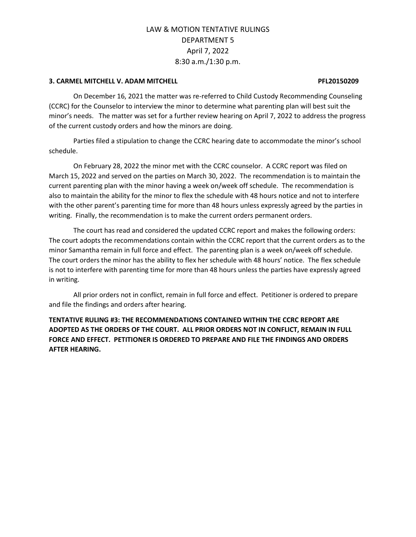### **3. CARMEL MITCHELL V. ADAM MITCHELL PFL20150209**

On December 16, 2021 the matter was re-referred to Child Custody Recommending Counseling (CCRC) for the Counselor to interview the minor to determine what parenting plan will best suit the minor's needs. The matter was set for a further review hearing on April 7, 2022 to address the progress of the current custody orders and how the minors are doing.

Parties filed a stipulation to change the CCRC hearing date to accommodate the minor's school schedule.

On February 28, 2022 the minor met with the CCRC counselor. A CCRC report was filed on March 15, 2022 and served on the parties on March 30, 2022. The recommendation is to maintain the current parenting plan with the minor having a week on/week off schedule. The recommendation is also to maintain the ability for the minor to flex the schedule with 48 hours notice and not to interfere with the other parent's parenting time for more than 48 hours unless expressly agreed by the parties in writing. Finally, the recommendation is to make the current orders permanent orders.

The court has read and considered the updated CCRC report and makes the following orders: The court adopts the recommendations contain within the CCRC report that the current orders as to the minor Samantha remain in full force and effect. The parenting plan is a week on/week off schedule. The court orders the minor has the ability to flex her schedule with 48 hours' notice. The flex schedule is not to interfere with parenting time for more than 48 hours unless the parties have expressly agreed in writing.

All prior orders not in conflict, remain in full force and effect. Petitioner is ordered to prepare and file the findings and orders after hearing.

**TENTATIVE RULING #3: THE RECOMMENDATIONS CONTAINED WITHIN THE CCRC REPORT ARE ADOPTED AS THE ORDERS OF THE COURT. ALL PRIOR ORDERS NOT IN CONFLICT, REMAIN IN FULL FORCE AND EFFECT. PETITIONER IS ORDERED TO PREPARE AND FILE THE FINDINGS AND ORDERS AFTER HEARING.**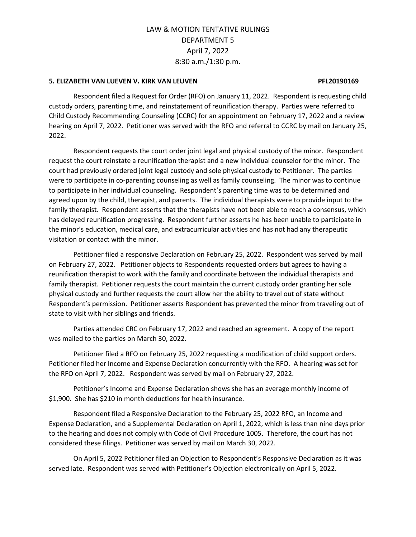### **5. ELIZABETH VAN LUEVEN V. KIRK VAN LEUVEN PFL20190169**

Respondent filed a Request for Order (RFO) on January 11, 2022. Respondent is requesting child custody orders, parenting time, and reinstatement of reunification therapy. Parties were referred to Child Custody Recommending Counseling (CCRC) for an appointment on February 17, 2022 and a review hearing on April 7, 2022. Petitioner was served with the RFO and referral to CCRC by mail on January 25, 2022.

Respondent requests the court order joint legal and physical custody of the minor. Respondent request the court reinstate a reunification therapist and a new individual counselor for the minor. The court had previously ordered joint legal custody and sole physical custody to Petitioner. The parties were to participate in co-parenting counseling as well as family counseling. The minor was to continue to participate in her individual counseling. Respondent's parenting time was to be determined and agreed upon by the child, therapist, and parents. The individual therapists were to provide input to the family therapist. Respondent asserts that the therapists have not been able to reach a consensus, which has delayed reunification progressing. Respondent further asserts he has been unable to participate in the minor's education, medical care, and extracurricular activities and has not had any therapeutic visitation or contact with the minor.

Petitioner filed a responsive Declaration on February 25, 2022. Respondent was served by mail on February 27, 2022. Petitioner objects to Respondents requested orders but agrees to having a reunification therapist to work with the family and coordinate between the individual therapists and family therapist. Petitioner requests the court maintain the current custody order granting her sole physical custody and further requests the court allow her the ability to travel out of state without Respondent's permission. Petitioner asserts Respondent has prevented the minor from traveling out of state to visit with her siblings and friends.

Parties attended CRC on February 17, 2022 and reached an agreement. A copy of the report was mailed to the parties on March 30, 2022.

Petitioner filed a RFO on February 25, 2022 requesting a modification of child support orders. Petitioner filed her Income and Expense Declaration concurrently with the RFO. A hearing was set for the RFO on April 7, 2022. Respondent was served by mail on February 27, 2022.

Petitioner's Income and Expense Declaration shows she has an average monthly income of \$1,900. She has \$210 in month deductions for health insurance.

Respondent filed a Responsive Declaration to the February 25, 2022 RFO, an Income and Expense Declaration, and a Supplemental Declaration on April 1, 2022, which is less than nine days prior to the hearing and does not comply with Code of Civil Procedure 1005. Therefore, the court has not considered these filings. Petitioner was served by mail on March 30, 2022.

On April 5, 2022 Petitioner filed an Objection to Respondent's Responsive Declaration as it was served late. Respondent was served with Petitioner's Objection electronically on April 5, 2022.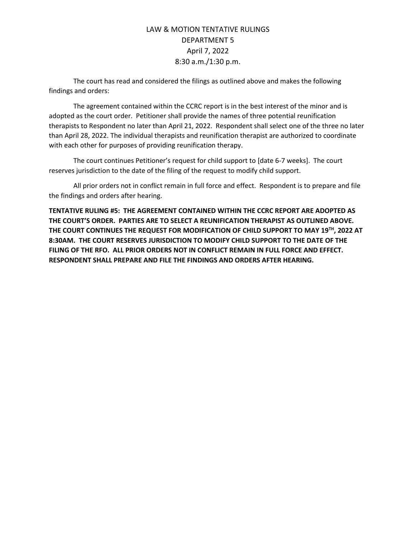The court has read and considered the filings as outlined above and makes the following findings and orders:

The agreement contained within the CCRC report is in the best interest of the minor and is adopted as the court order. Petitioner shall provide the names of three potential reunification therapists to Respondent no later than April 21, 2022. Respondent shall select one of the three no later than April 28, 2022. The individual therapists and reunification therapist are authorized to coordinate with each other for purposes of providing reunification therapy.

The court continues Petitioner's request for child support to [date 6-7 weeks]. The court reserves jurisdiction to the date of the filing of the request to modify child support.

All prior orders not in conflict remain in full force and effect. Respondent is to prepare and file the findings and orders after hearing.

**TENTATIVE RULING #5: THE AGREEMENT CONTAINED WITHIN THE CCRC REPORT ARE ADOPTED AS THE COURT'S ORDER. PARTIES ARE TO SELECT A REUNIFICATION THERAPIST AS OUTLINED ABOVE. THE COURT CONTINUES THE REQUEST FOR MODIFICATION OF CHILD SUPPORT TO MAY 19TH, 2022 AT 8:30AM. THE COURT RESERVES JURISDICTION TO MODIFY CHILD SUPPORT TO THE DATE OF THE FILING OF THE RFO. ALL PRIOR ORDERS NOT IN CONFLICT REMAIN IN FULL FORCE AND EFFECT. RESPONDENT SHALL PREPARE AND FILE THE FINDINGS AND ORDERS AFTER HEARING.**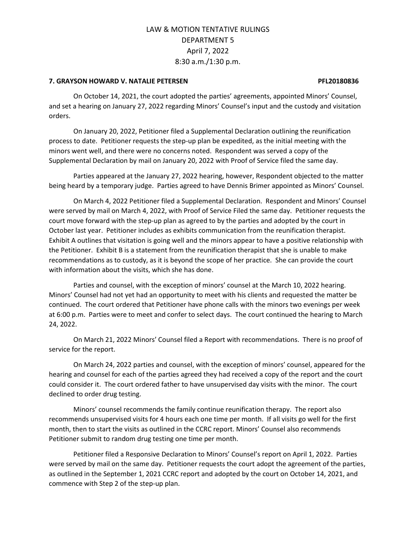### **7. GRAYSON HOWARD V. NATALIE PETERSEN PFL20180836**

On October 14, 2021, the court adopted the parties' agreements, appointed Minors' Counsel, and set a hearing on January 27, 2022 regarding Minors' Counsel's input and the custody and visitation orders.

On January 20, 2022, Petitioner filed a Supplemental Declaration outlining the reunification process to date. Petitioner requests the step-up plan be expedited, as the initial meeting with the minors went well, and there were no concerns noted. Respondent was served a copy of the Supplemental Declaration by mail on January 20, 2022 with Proof of Service filed the same day.

Parties appeared at the January 27, 2022 hearing, however, Respondent objected to the matter being heard by a temporary judge. Parties agreed to have Dennis Brimer appointed as Minors' Counsel.

On March 4, 2022 Petitioner filed a Supplemental Declaration. Respondent and Minors' Counsel were served by mail on March 4, 2022, with Proof of Service Filed the same day. Petitioner requests the court move forward with the step-up plan as agreed to by the parties and adopted by the court in October last year. Petitioner includes as exhibits communication from the reunification therapist. Exhibit A outlines that visitation is going well and the minors appear to have a positive relationship with the Petitioner. Exhibit B is a statement from the reunification therapist that she is unable to make recommendations as to custody, as it is beyond the scope of her practice. She can provide the court with information about the visits, which she has done.

Parties and counsel, with the exception of minors' counsel at the March 10, 2022 hearing. Minors' Counsel had not yet had an opportunity to meet with his clients and requested the matter be continued. The court ordered that Petitioner have phone calls with the minors two evenings per week at 6:00 p.m. Parties were to meet and confer to select days. The court continued the hearing to March 24, 2022.

On March 21, 2022 Minors' Counsel filed a Report with recommendations. There is no proof of service for the report.

On March 24, 2022 parties and counsel, with the exception of minors' counsel, appeared for the hearing and counsel for each of the parties agreed they had received a copy of the report and the court could consider it. The court ordered father to have unsupervised day visits with the minor. The court declined to order drug testing.

Minors' counsel recommends the family continue reunification therapy. The report also recommends unsupervised visits for 4 hours each one time per month. If all visits go well for the first month, then to start the visits as outlined in the CCRC report. Minors' Counsel also recommends Petitioner submit to random drug testing one time per month.

Petitioner filed a Responsive Declaration to Minors' Counsel's report on April 1, 2022. Parties were served by mail on the same day. Petitioner requests the court adopt the agreement of the parties, as outlined in the September 1, 2021 CCRC report and adopted by the court on October 14, 2021, and commence with Step 2 of the step-up plan.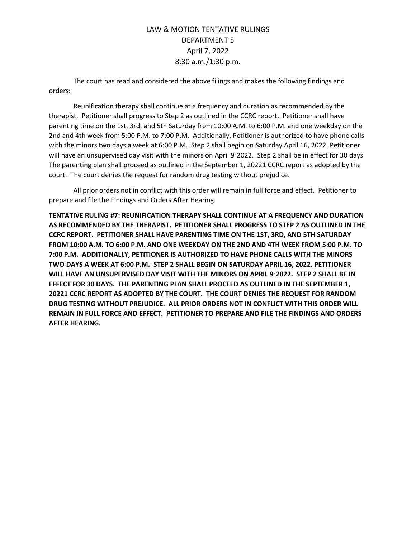The court has read and considered the above filings and makes the following findings and orders:

Reunification therapy shall continue at a frequency and duration as recommended by the therapist. Petitioner shall progress to Step 2 as outlined in the CCRC report. Petitioner shall have parenting time on the 1st, 3rd, and 5th Saturday from 10:00 A.M. to 6:00 P.M. and one weekday on the 2nd and 4th week from 5:00 P.M. to 7:00 P.M. Additionally, Petitioner is authorized to have phone calls with the minors two days a week at 6:00 P.M. Step 2 shall begin on Saturday April 16, 2022. Petitioner will have an unsupervised day visit with the minors on April 9 2022. Step 2 shall be in effect for 30 days. The parenting plan shall proceed as outlined in the September 1, 20221 CCRC report as adopted by the court. The court denies the request for random drug testing without prejudice.

All prior orders not in conflict with this order will remain in full force and effect. Petitioner to prepare and file the Findings and Orders After Hearing.

**TENTATIVE RULING #7: REUNIFICATION THERAPY SHALL CONTINUE AT A FREQUENCY AND DURATION AS RECOMMENDED BY THE THERAPIST. PETITIONER SHALL PROGRESS TO STEP 2 AS OUTLINED IN THE CCRC REPORT. PETITIONER SHALL HAVE PARENTING TIME ON THE 1ST, 3RD, AND 5TH SATURDAY FROM 10:00 A.M. TO 6:00 P.M. AND ONE WEEKDAY ON THE 2ND AND 4TH WEEK FROM 5:00 P.M. TO 7:00 P.M. ADDITIONALLY, PETITIONER IS AUTHORIZED TO HAVE PHONE CALLS WITH THE MINORS TWO DAYS A WEEK AT 6:00 P.M. STEP 2 SHALL BEGIN ON SATURDAY APRIL 16, 2022. PETITIONER WILL HAVE AN UNSUPERVISED DAY VISIT WITH THE MINORS ON APRIL 9, 2022. STEP 2 SHALL BE IN EFFECT FOR 30 DAYS. THE PARENTING PLAN SHALL PROCEED AS OUTLINED IN THE SEPTEMBER 1, 20221 CCRC REPORT AS ADOPTED BY THE COURT. THE COURT DENIES THE REQUEST FOR RANDOM DRUG TESTING WITHOUT PREJUDICE. ALL PRIOR ORDERS NOT IN CONFLICT WITH THIS ORDER WILL REMAIN IN FULL FORCE AND EFFECT. PETITIONER TO PREPARE AND FILE THE FINDINGS AND ORDERS AFTER HEARING.**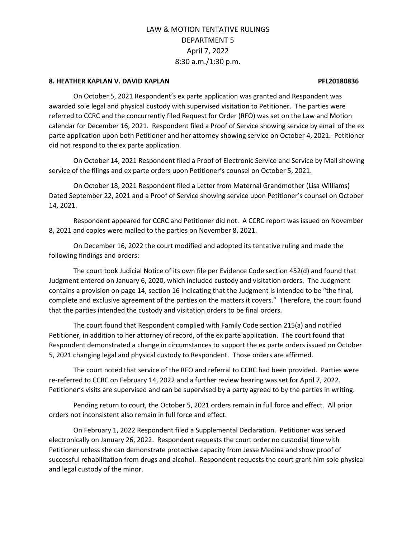### **8. HEATHER KAPLAN V. DAVID KAPLAN PFL20180836**

On October 5, 2021 Respondent's ex parte application was granted and Respondent was awarded sole legal and physical custody with supervised visitation to Petitioner. The parties were referred to CCRC and the concurrently filed Request for Order (RFO) was set on the Law and Motion calendar for December 16, 2021. Respondent filed a Proof of Service showing service by email of the ex parte application upon both Petitioner and her attorney showing service on October 4, 2021. Petitioner did not respond to the ex parte application.

On October 14, 2021 Respondent filed a Proof of Electronic Service and Service by Mail showing service of the filings and ex parte orders upon Petitioner's counsel on October 5, 2021.

On October 18, 2021 Respondent filed a Letter from Maternal Grandmother (Lisa Williams) Dated September 22, 2021 and a Proof of Service showing service upon Petitioner's counsel on October 14, 2021.

Respondent appeared for CCRC and Petitioner did not. A CCRC report was issued on November 8, 2021 and copies were mailed to the parties on November 8, 2021.

On December 16, 2022 the court modified and adopted its tentative ruling and made the following findings and orders:

The court took Judicial Notice of its own file per Evidence Code section 452(d) and found that Judgment entered on January 6, 2020, which included custody and visitation orders. The Judgment contains a provision on page 14, section 16 indicating that the Judgment is intended to be "the final, complete and exclusive agreement of the parties on the matters it covers." Therefore, the court found that the parties intended the custody and visitation orders to be final orders.

The court found that Respondent complied with Family Code section 215(a) and notified Petitioner, in addition to her attorney of record, of the ex parte application. The court found that Respondent demonstrated a change in circumstances to support the ex parte orders issued on October 5, 2021 changing legal and physical custody to Respondent. Those orders are affirmed.

The court noted that service of the RFO and referral to CCRC had been provided. Parties were re-referred to CCRC on February 14, 2022 and a further review hearing was set for April 7, 2022. Petitioner's visits are supervised and can be supervised by a party agreed to by the parties in writing.

Pending return to court, the October 5, 2021 orders remain in full force and effect. All prior orders not inconsistent also remain in full force and effect.

On February 1, 2022 Respondent filed a Supplemental Declaration. Petitioner was served electronically on January 26, 2022. Respondent requests the court order no custodial time with Petitioner unless she can demonstrate protective capacity from Jesse Medina and show proof of successful rehabilitation from drugs and alcohol. Respondent requests the court grant him sole physical and legal custody of the minor.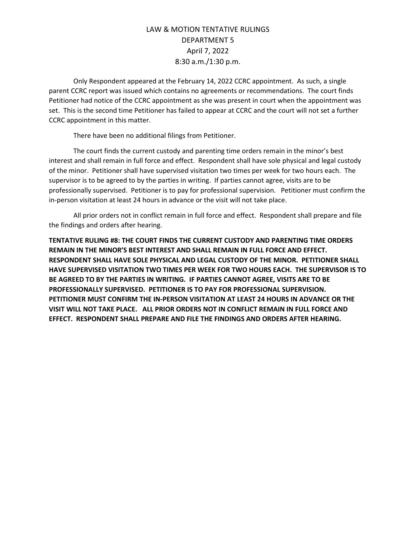Only Respondent appeared at the February 14, 2022 CCRC appointment. As such, a single parent CCRC report was issued which contains no agreements or recommendations. The court finds Petitioner had notice of the CCRC appointment as she was present in court when the appointment was set. This is the second time Petitioner has failed to appear at CCRC and the court will not set a further CCRC appointment in this matter.

There have been no additional filings from Petitioner.

The court finds the current custody and parenting time orders remain in the minor's best interest and shall remain in full force and effect. Respondent shall have sole physical and legal custody of the minor. Petitioner shall have supervised visitation two times per week for two hours each. The supervisor is to be agreed to by the parties in writing. If parties cannot agree, visits are to be professionally supervised. Petitioner is to pay for professional supervision. Petitioner must confirm the in-person visitation at least 24 hours in advance or the visit will not take place.

All prior orders not in conflict remain in full force and effect. Respondent shall prepare and file the findings and orders after hearing.

**TENTATIVE RULING #8: THE COURT FINDS THE CURRENT CUSTODY AND PARENTING TIME ORDERS REMAIN IN THE MINOR'S BEST INTEREST AND SHALL REMAIN IN FULL FORCE AND EFFECT. RESPONDENT SHALL HAVE SOLE PHYSICAL AND LEGAL CUSTODY OF THE MINOR. PETITIONER SHALL HAVE SUPERVISED VISITATION TWO TIMES PER WEEK FOR TWO HOURS EACH. THE SUPERVISOR IS TO BE AGREED TO BY THE PARTIES IN WRITING. IF PARTIES CANNOT AGREE, VISITS ARE TO BE PROFESSIONALLY SUPERVISED. PETITIONER IS TO PAY FOR PROFESSIONAL SUPERVISION. PETITIONER MUST CONFIRM THE IN-PERSON VISITATION AT LEAST 24 HOURS IN ADVANCE OR THE VISIT WILL NOT TAKE PLACE. ALL PRIOR ORDERS NOT IN CONFLICT REMAIN IN FULL FORCE AND EFFECT. RESPONDENT SHALL PREPARE AND FILE THE FINDINGS AND ORDERS AFTER HEARING.**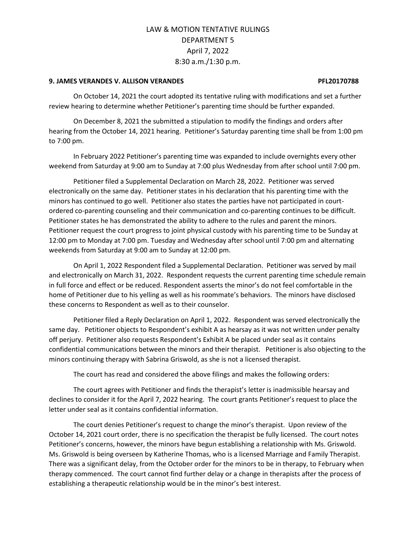### **9. JAMES VERANDES V. ALLISON VERANDES PFL20170788**

On October 14, 2021 the court adopted its tentative ruling with modifications and set a further review hearing to determine whether Petitioner's parenting time should be further expanded.

On December 8, 2021 the submitted a stipulation to modify the findings and orders after hearing from the October 14, 2021 hearing. Petitioner's Saturday parenting time shall be from 1:00 pm to 7:00 pm.

In February 2022 Petitioner's parenting time was expanded to include overnights every other weekend from Saturday at 9:00 am to Sunday at 7:00 plus Wednesday from after school until 7:00 pm.

Petitioner filed a Supplemental Declaration on March 28, 2022. Petitioner was served electronically on the same day. Petitioner states in his declaration that his parenting time with the minors has continued to go well. Petitioner also states the parties have not participated in courtordered co-parenting counseling and their communication and co-parenting continues to be difficult. Petitioner states he has demonstrated the ability to adhere to the rules and parent the minors. Petitioner request the court progress to joint physical custody with his parenting time to be Sunday at 12:00 pm to Monday at 7:00 pm. Tuesday and Wednesday after school until 7:00 pm and alternating weekends from Saturday at 9:00 am to Sunday at 12:00 pm.

On April 1, 2022 Respondent filed a Supplemental Declaration. Petitioner was served by mail and electronically on March 31, 2022. Respondent requests the current parenting time schedule remain in full force and effect or be reduced. Respondent asserts the minor's do not feel comfortable in the home of Petitioner due to his yelling as well as his roommate's behaviors. The minors have disclosed these concerns to Respondent as well as to their counselor.

Petitioner filed a Reply Declaration on April 1, 2022. Respondent was served electronically the same day. Petitioner objects to Respondent's exhibit A as hearsay as it was not written under penalty off perjury. Petitioner also requests Respondent's Exhibit A be placed under seal as it contains confidential communications between the minors and their therapist. Petitioner is also objecting to the minors continuing therapy with Sabrina Griswold, as she is not a licensed therapist.

The court has read and considered the above filings and makes the following orders:

The court agrees with Petitioner and finds the therapist's letter is inadmissible hearsay and declines to consider it for the April 7, 2022 hearing. The court grants Petitioner's request to place the letter under seal as it contains confidential information.

The court denies Petitioner's request to change the minor's therapist. Upon review of the October 14, 2021 court order, there is no specification the therapist be fully licensed. The court notes Petitioner's concerns, however, the minors have begun establishing a relationship with Ms. Griswold. Ms. Griswold is being overseen by Katherine Thomas, who is a licensed Marriage and Family Therapist. There was a significant delay, from the October order for the minors to be in therapy, to February when therapy commenced. The court cannot find further delay or a change in therapists after the process of establishing a therapeutic relationship would be in the minor's best interest.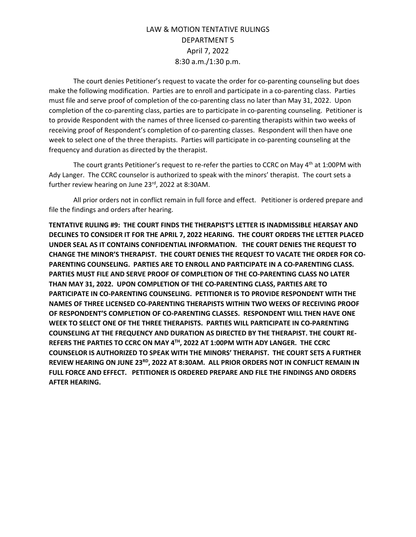The court denies Petitioner's request to vacate the order for co-parenting counseling but does make the following modification. Parties are to enroll and participate in a co-parenting class. Parties must file and serve proof of completion of the co-parenting class no later than May 31, 2022. Upon completion of the co-parenting class, parties are to participate in co-parenting counseling. Petitioner is to provide Respondent with the names of three licensed co-parenting therapists within two weeks of receiving proof of Respondent's completion of co-parenting classes. Respondent will then have one week to select one of the three therapists. Parties will participate in co-parenting counseling at the frequency and duration as directed by the therapist.

The court grants Petitioner's request to re-refer the parties to CCRC on May 4<sup>th</sup> at 1:00PM with Ady Langer. The CCRC counselor is authorized to speak with the minors' therapist. The court sets a further review hearing on June 23<sup>rd</sup>, 2022 at 8:30AM.

All prior orders not in conflict remain in full force and effect. Petitioner is ordered prepare and file the findings and orders after hearing.

**TENTATIVE RULING #9: THE COURT FINDS THE THERAPIST'S LETTER IS INADMISSIBLE HEARSAY AND DECLINES TO CONSIDER IT FOR THE APRIL 7, 2022 HEARING. THE COURT ORDERS THE LETTER PLACED UNDER SEAL AS IT CONTAINS CONFIDENTIAL INFORMATION. THE COURT DENIES THE REQUEST TO CHANGE THE MINOR'S THERAPIST. THE COURT DENIES THE REQUEST TO VACATE THE ORDER FOR CO-PARENTING COUNSELING. PARTIES ARE TO ENROLL AND PARTICIPATE IN A CO-PARENTING CLASS. PARTIES MUST FILE AND SERVE PROOF OF COMPLETION OF THE CO-PARENTING CLASS NO LATER THAN MAY 31, 2022. UPON COMPLETION OF THE CO-PARENTING CLASS, PARTIES ARE TO PARTICIPATE IN CO-PARENTING COUNSELING. PETITIONER IS TO PROVIDE RESPONDENT WITH THE NAMES OF THREE LICENSED CO-PARENTING THERAPISTS WITHIN TWO WEEKS OF RECEIVING PROOF OF RESPONDENT'S COMPLETION OF CO-PARENTING CLASSES. RESPONDENT WILL THEN HAVE ONE WEEK TO SELECT ONE OF THE THREE THERAPISTS. PARTIES WILL PARTICIPATE IN CO-PARENTING COUNSELING AT THE FREQUENCY AND DURATION AS DIRECTED BY THE THERAPIST. THE COURT RE-REFERS THE PARTIES TO CCRC ON MAY 4 TH , 2022 AT 1:00PM WITH ADY LANGER. THE CCRC COUNSELOR IS AUTHORIZED TO SPEAK WITH THE MINORS' THERAPIST. THE COURT SETS A FURTHER REVIEW HEARING ON JUNE 23RD , 2022 AT 8:30AM. ALL PRIOR ORDERS NOT IN CONFLICT REMAIN IN FULL FORCE AND EFFECT. PETITIONER IS ORDERED PREPARE AND FILE THE FINDINGS AND ORDERS AFTER HEARING.**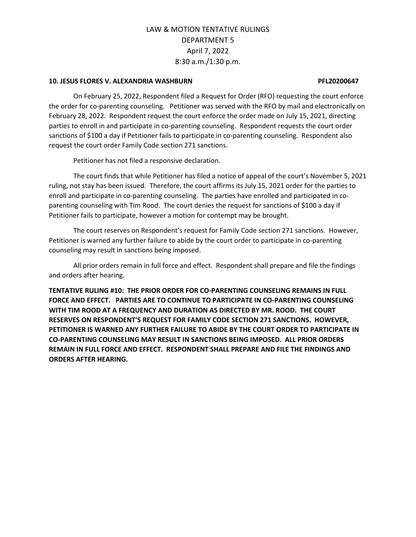### **10. JESUS FLORES V. ALEXANDRIA WASHBURN PFL20200647**

On February 25, 2022, Respondent filed a Request for Order (RFO) requesting the court enforce the order for co-parenting counseling. Petitioner was served with the RFO by mail and electronically on February 28, 2022. Respondent request the court enforce the order made on July 15, 2021, directing parties to enroll in and participate in co-parenting counseling. Respondent requests the court order sanctions of \$100 a day if Petitioner fails to participate in co-parenting counseling. Respondent also request the court order Family Code section 271 sanctions.

Petitioner has not filed a responsive declaration.

The court finds that while Petitioner has filed a notice of appeal of the court's November 5, 2021 ruling, not stay has been issued. Therefore, the court affirms its July 15, 2021 order for the parties to enroll and participate in co-parenting counseling. The parties have enrolled and participated in coparenting counseling with Tim Rood. The court denies the request for sanctions of \$100 a day if Petitioner fails to participate, however a motion for contempt may be brought.

The court reserves on Respondent's request for Family Code section 271 sanctions. However, Petitioner is warned any further failure to abide by the court order to participate in co-parenting counseling may result in sanctions being imposed.

All prior orders remain in full force and effect. Respondent shall prepare and file the findings and orders after hearing.

**TENTATIVE RULING #10: THE PRIOR ORDER FOR CO-PARENTING COUNSELING REMAINS IN FULL FORCE AND EFFECT. PARTIES ARE TO CONTINUE TO PARTICIPATE IN CO-PARENTING COUNSELING WITH TIM ROOD AT A FREQUENCY AND DURATION AS DIRECTED BY MR. ROOD. THE COURT RESERVES ON RESPONDENT'S REQUEST FOR FAMILY CODE SECTION 271 SANCTIONS. HOWEVER, PETITIONER IS WARNED ANY FURTHER FAILURE TO ABIDE BY THE COURT ORDER TO PARTICIPATE IN CO-PARENTING COUNSELING MAY RESULT IN SANCTIONS BEING IMPOSED. ALL PRIOR ORDERS REMAIN IN FULL FORCE AND EFFECT. RESPONDENT SHALL PREPARE AND FILE THE FINDINGS AND ORDERS AFTER HEARING.**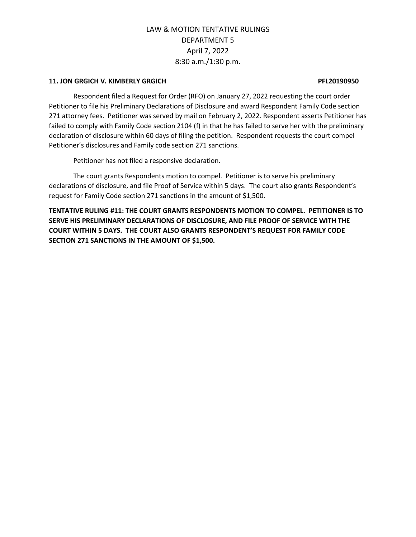### **11. JON GRGICH V. KIMBERLY GRGICH PFL20190950**

Respondent filed a Request for Order (RFO) on January 27, 2022 requesting the court order Petitioner to file his Preliminary Declarations of Disclosure and award Respondent Family Code section 271 attorney fees. Petitioner was served by mail on February 2, 2022. Respondent asserts Petitioner has failed to comply with Family Code section 2104 (f) in that he has failed to serve her with the preliminary declaration of disclosure within 60 days of filing the petition. Respondent requests the court compel Petitioner's disclosures and Family code section 271 sanctions.

Petitioner has not filed a responsive declaration.

The court grants Respondents motion to compel. Petitioner is to serve his preliminary declarations of disclosure, and file Proof of Service within 5 days. The court also grants Respondent's request for Family Code section 271 sanctions in the amount of \$1,500.

**TENTATIVE RULING #11: THE COURT GRANTS RESPONDENTS MOTION TO COMPEL. PETITIONER IS TO SERVE HIS PRELIMINARY DECLARATIONS OF DISCLOSURE, AND FILE PROOF OF SERVICE WITH THE COURT WITHIN 5 DAYS. THE COURT ALSO GRANTS RESPONDENT'S REQUEST FOR FAMILY CODE SECTION 271 SANCTIONS IN THE AMOUNT OF \$1,500.**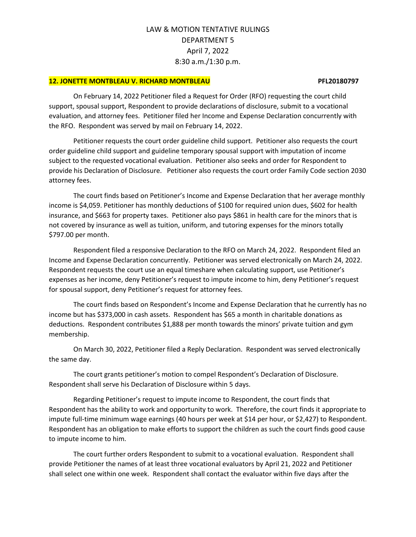### **12. JONETTE MONTBLEAU V. RICHARD MONTBLEAU PFL20180797**

On February 14, 2022 Petitioner filed a Request for Order (RFO) requesting the court child support, spousal support, Respondent to provide declarations of disclosure, submit to a vocational evaluation, and attorney fees. Petitioner filed her Income and Expense Declaration concurrently with the RFO. Respondent was served by mail on February 14, 2022.

Petitioner requests the court order guideline child support. Petitioner also requests the court order guideline child support and guideline temporary spousal support with imputation of income subject to the requested vocational evaluation. Petitioner also seeks and order for Respondent to provide his Declaration of Disclosure. Petitioner also requests the court order Family Code section 2030 attorney fees.

The court finds based on Petitioner's Income and Expense Declaration that her average monthly income is \$4,059. Petitioner has monthly deductions of \$100 for required union dues, \$602 for health insurance, and \$663 for property taxes. Petitioner also pays \$861 in health care for the minors that is not covered by insurance as well as tuition, uniform, and tutoring expenses for the minors totally \$797.00 per month.

Respondent filed a responsive Declaration to the RFO on March 24, 2022. Respondent filed an Income and Expense Declaration concurrently. Petitioner was served electronically on March 24, 2022. Respondent requests the court use an equal timeshare when calculating support, use Petitioner's expenses as her income, deny Petitioner's request to impute income to him, deny Petitioner's request for spousal support, deny Petitioner's request for attorney fees.

The court finds based on Respondent's Income and Expense Declaration that he currently has no income but has \$373,000 in cash assets. Respondent has \$65 a month in charitable donations as deductions. Respondent contributes \$1,888 per month towards the minors' private tuition and gym membership.

On March 30, 2022, Petitioner filed a Reply Declaration. Respondent was served electronically the same day.

The court grants petitioner's motion to compel Respondent's Declaration of Disclosure. Respondent shall serve his Declaration of Disclosure within 5 days.

Regarding Petitioner's request to impute income to Respondent, the court finds that Respondent has the ability to work and opportunity to work. Therefore, the court finds it appropriate to impute full-time minimum wage earnings (40 hours per week at \$14 per hour, or \$2,427) to Respondent. Respondent has an obligation to make efforts to support the children as such the court finds good cause to impute income to him.

The court further orders Respondent to submit to a vocational evaluation. Respondent shall provide Petitioner the names of at least three vocational evaluators by April 21, 2022 and Petitioner shall select one within one week. Respondent shall contact the evaluator within five days after the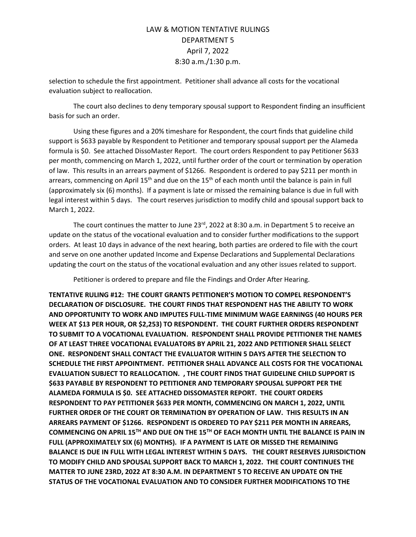selection to schedule the first appointment. Petitioner shall advance all costs for the vocational evaluation subject to reallocation.

The court also declines to deny temporary spousal support to Respondent finding an insufficient basis for such an order.

Using these figures and a 20% timeshare for Respondent, the court finds that guideline child support is \$633 payable by Respondent to Petitioner and temporary spousal support per the Alameda formula is \$0. See attached DissoMaster Report. The court orders Respondent to pay Petitioner \$633 per month, commencing on March 1, 2022, until further order of the court or termination by operation of law. This results in an arrears payment of \$1266. Respondent is ordered to pay \$211 per month in arrears, commencing on April 15<sup>th</sup> and due on the 15<sup>th</sup> of each month until the balance is pain in full (approximately six (6) months). If a payment is late or missed the remaining balance is due in full with legal interest within 5 days. The court reserves jurisdiction to modify child and spousal support back to March 1, 2022.

The court continues the matter to June 23 $^{rd}$ , 2022 at 8:30 a.m. in Department 5 to receive an update on the status of the vocational evaluation and to consider further modifications to the support orders. At least 10 days in advance of the next hearing, both parties are ordered to file with the court and serve on one another updated Income and Expense Declarations and Supplemental Declarations updating the court on the status of the vocational evaluation and any other issues related to support.

Petitioner is ordered to prepare and file the Findings and Order After Hearing.

**TENTATIVE RULING #12: THE COURT GRANTS PETITIONER'S MOTION TO COMPEL RESPONDENT'S DECLARATION OF DISCLOSURE. THE COURT FINDS THAT RESPONDENT HAS THE ABILITY TO WORK AND OPPORTUNITY TO WORK AND IMPUTES FULL-TIME MINIMUM WAGE EARNINGS (40 HOURS PER WEEK AT \$13 PER HOUR, OR \$2,253) TO RESPONDENT. THE COURT FURTHER ORDERS RESPONDENT TO SUBMIT TO A VOCATIONAL EVALUATION. RESPONDENT SHALL PROVIDE PETITIONER THE NAMES OF AT LEAST THREE VOCATIONAL EVALUATORS BY APRIL 21, 2022 AND PETITIONER SHALL SELECT ONE. RESPONDENT SHALL CONTACT THE EVALUATOR WITHIN 5 DAYS AFTER THE SELECTION TO SCHEDULE THE FIRST APPOINTMENT. PETITIONER SHALL ADVANCE ALL COSTS FOR THE VOCATIONAL EVALUATION SUBJECT TO REALLOCATION. , THE COURT FINDS THAT GUIDELINE CHILD SUPPORT IS \$633 PAYABLE BY RESPONDENT TO PETITIONER AND TEMPORARY SPOUSAL SUPPORT PER THE ALAMEDA FORMULA IS \$0. SEE ATTACHED DISSOMASTER REPORT. THE COURT ORDERS RESPONDENT TO PAY PETITIONER \$633 PER MONTH, COMMENCING ON MARCH 1, 2022, UNTIL FURTHER ORDER OF THE COURT OR TERMINATION BY OPERATION OF LAW. THIS RESULTS IN AN ARREARS PAYMENT OF \$1266. RESPONDENT IS ORDERED TO PAY \$211 PER MONTH IN ARREARS, COMMENCING ON APRIL 15TH AND DUE ON THE 15TH OF EACH MONTH UNTIL THE BALANCE IS PAIN IN FULL (APPROXIMATELY SIX (6) MONTHS). IF A PAYMENT IS LATE OR MISSED THE REMAINING BALANCE IS DUE IN FULL WITH LEGAL INTEREST WITHIN 5 DAYS. THE COURT RESERVES JURISDICTION TO MODIFY CHILD AND SPOUSAL SUPPORT BACK TO MARCH 1, 2022. THE COURT CONTINUES THE MATTER TO JUNE 23RD, 2022 AT 8:30 A.M. IN DEPARTMENT 5 TO RECEIVE AN UPDATE ON THE STATUS OF THE VOCATIONAL EVALUATION AND TO CONSIDER FURTHER MODIFICATIONS TO THE**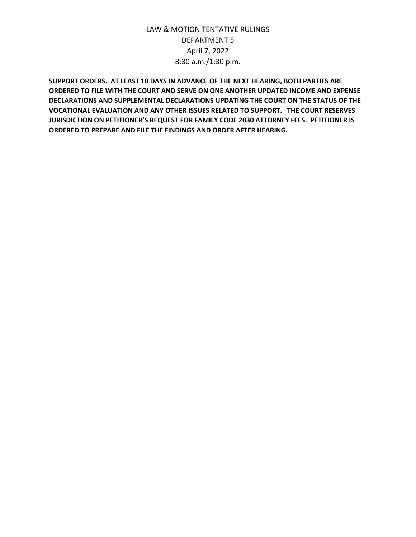**SUPPORT ORDERS. AT LEAST 10 DAYS IN ADVANCE OF THE NEXT HEARING, BOTH PARTIES ARE ORDERED TO FILE WITH THE COURT AND SERVE ON ONE ANOTHER UPDATED INCOME AND EXPENSE DECLARATIONS AND SUPPLEMENTAL DECLARATIONS UPDATING THE COURT ON THE STATUS OF THE VOCATIONAL EVALUATION AND ANY OTHER ISSUES RELATED TO SUPPORT. THE COURT RESERVES JURISDICTION ON PETITIONER'S REQUEST FOR FAMILY CODE 2030 ATTORNEY FEES. PETITIONER IS ORDERED TO PREPARE AND FILE THE FINDINGS AND ORDER AFTER HEARING.**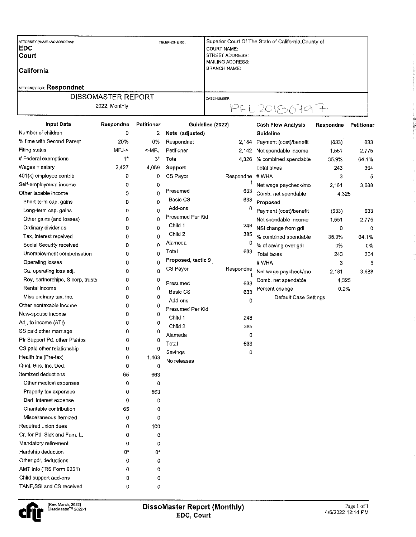| ATTORNEY (NAME AND ADDRESS):<br><b>IEDC</b><br><b>Court</b><br><b>ICalifornia</b><br><b>ATTORNEY FOR: Respondnet</b> | TELEPHONE NO: | Superior Court Of The State of California County of<br>COURT NAME:<br>STREET ADDRESS:<br>MAILING ADDRESS:<br>BRANCH NAME: |
|----------------------------------------------------------------------------------------------------------------------|---------------|---------------------------------------------------------------------------------------------------------------------------|
| <b>DISSOMASTER REPORT</b><br>2022, Monthly                                                                           |               | <b>CASE NUMBER:</b><br>2018<br>www.forester                                                                               |

| <b>Input Data</b>                 | Respondne | Petitioner | Guideline (2022)   |                          | <b>Cash Flow Analysis</b>    | Respondne | Petitioner |
|-----------------------------------|-----------|------------|--------------------|--------------------------|------------------------------|-----------|------------|
| Number of children                | 0         | 2          | Nets (adjusted)    |                          | Guideline                    |           |            |
| % time with Second Parent         | 20%       | 0%         | Respondnet         |                          | 2,184 Payment (cost)/benefit | (633)     | 633        |
| Filing status                     | MFJ->     | <-MFJ      | Petitioner         | 2,142                    | Net spendable income         | 1,551     | 2,775      |
| # Federal exemptions              | $1*$      | $3^*$      | Total              |                          | 4,326 % combined spendable   | 35.9%     | 64.1%      |
| Wages + salary                    | 2,427     | 4,059      | Support            |                          | Total taxes                  | 243       | 354        |
| 401(k) employee contrib           | 0         | 0          | CS Payor           | Respondne                | #WHA                         | 3         | 5          |
| Self-employment income            | 0         | 0          |                    |                          | Net wage paycheck/mo         | 2,181     | 3,638      |
| Other taxable income              | 0         | 0          | Presumed           | 633                      | Comb. net spendable          | 4,325     |            |
| Short-term cap. gains             | 0         | 0          | Basic CS           | 633                      | Proposed                     |           |            |
| Long-term cap. gains              | 0         | 0          | Add-ons            | 0                        | Payment (cost)/benefit       | (633)     | 633        |
| Other gains (and losses)          | 0         | 0          | Presumed Per Kid   |                          | Net spendable income         | 1,551     | 2,775      |
| Ordinary dividends                | 0         | 0          | Child 1            | 248                      | NSI change from gdl          | 0         | 0          |
| Tax, interest received            | 0         | 0          | Child 2            | 385                      | % combined spendable         | 35.9%     | 64.1%      |
| Social Security received          | 0         | 0          | Alameda            | 0                        | % of saving over gdl         | 0%        | 0%         |
| Unemployment compensation         | 0         | 0          | Total              | 633                      | Total taxes                  | 243       | 354        |
| Operating losses                  | 0         | 0          | Proposed, tactic 9 |                          | #WHA                         | 3         | 5          |
| Ca. operating loss adj.           | 0         | 0          | CS Payor           | Respondne<br>$\mathbf t$ | Net wage paycheck/mo         | 2,181     | 3,688      |
| Roy, partnerships, S corp, trusts | 0         | 0          | Presumed           | 633                      | Comb. net spendable          | 4,325     |            |
| Rental Income                     | 0         | 0          | Basic CS           | 633                      | Percent change               | 0.0%      |            |
| Misc ordinary tax. inc.           | 0         | 0          | Add-ons            | 0                        | Default Case Settings        |           |            |
| Other nontaxable income           | 0         | 0          | Presumed Per Kid   |                          |                              |           |            |
| New-spouse income                 | 0         | 0          | Child 1            | 248                      |                              |           |            |
| Adj. to income (ATI)              | 0         | 0          | Child 2            | 385                      |                              |           |            |
| SS paid other marriage            | 0         | 0          | Alameda            | 0                        |                              |           |            |
| Ptr Support Pd. other P'ships     | 0         | 0          | Total              | 633                      |                              |           |            |
| CS paid other relationship        | 0         | 0          | Savings            | 0                        |                              |           |            |
| Health ins (Pre-tax)              | 0         | 1,463      | No releases        |                          |                              |           |            |
| Qual. Bus. Inc. Ded.              | 0         | 0          |                    |                          |                              |           |            |
| Itemized deductions               | 65        | 663        |                    |                          |                              |           |            |
| Other medical expenses            | 0         | 0          |                    |                          |                              |           |            |
| Property tax expenses             | 0         | 663        |                    |                          |                              |           |            |
| Ded. interest expense             | 0         | 0          |                    |                          |                              |           |            |
| Charitable contribution           | 65        | 0          |                    |                          |                              |           |            |
| Miscellaneous itemized            | 0         | 0          |                    |                          |                              |           |            |
| Required union dues               | 0         | 100        |                    |                          |                              |           |            |
| Cr. for Pd. Sick and Fam. L.      | 0         | 0          |                    |                          |                              |           |            |
| Mandatory retirement              | 0         | 0          |                    |                          |                              |           |            |
| Hardship deduction                | 0*        | 0*         |                    |                          |                              |           |            |
| Other gdl, deductions             | 0         | 0          |                    |                          |                              |           |            |
| AMT info (IRS Form 6251)          | 0         | 0          |                    |                          |                              |           |            |
| Child support add-ons             | 0         | 0          |                    |                          |                              |           |            |
| TANE SSI and CS received          | U         | $\Omega$   |                    |                          |                              |           |            |



المقشامة

 $\bar{z}$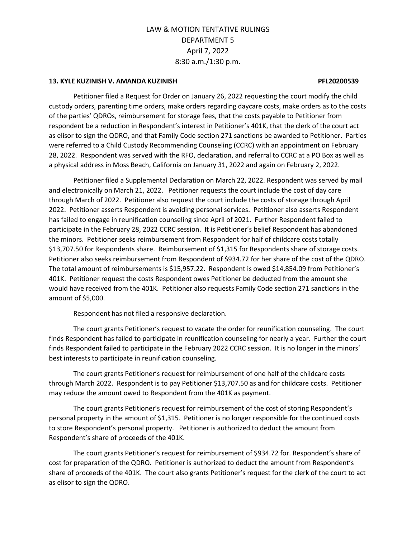### **13. KYLE KUZINISH V. AMANDA KUZINISH PFL20200539**

Petitioner filed a Request for Order on January 26, 2022 requesting the court modify the child custody orders, parenting time orders, make orders regarding daycare costs, make orders as to the costs of the parties' QDROs, reimbursement for storage fees, that the costs payable to Petitioner from respondent be a reduction in Respondent's interest in Petitioner's 401K, that the clerk of the court act as elisor to sign the QDRO, and that Family Code section 271 sanctions be awarded to Petitioner. Parties were referred to a Child Custody Recommending Counseling (CCRC) with an appointment on February 28, 2022. Respondent was served with the RFO, declaration, and referral to CCRC at a PO Box as well as a physical address in Moss Beach, California on January 31, 2022 and again on February 2, 2022.

Petitioner filed a Supplemental Declaration on March 22, 2022. Respondent was served by mail and electronically on March 21, 2022. Petitioner requests the court include the cost of day care through March of 2022. Petitioner also request the court include the costs of storage through April 2022. Petitioner asserts Respondent is avoiding personal services. Petitioner also asserts Respondent has failed to engage in reunification counseling since April of 2021. Further Respondent failed to participate in the February 28, 2022 CCRC session. It is Petitioner's belief Respondent has abandoned the minors. Petitioner seeks reimbursement from Respondent for half of childcare costs totally \$13,707.50 for Respondents share. Reimbursement of \$1,315 for Respondents share of storage costs. Petitioner also seeks reimbursement from Respondent of \$934.72 for her share of the cost of the QDRO. The total amount of reimbursements is \$15,957.22. Respondent is owed \$14,854.09 from Petitioner's 401K. Petitioner request the costs Respondent owes Petitioner be deducted from the amount she would have received from the 401K. Petitioner also requests Family Code section 271 sanctions in the amount of \$5,000.

Respondent has not filed a responsive declaration.

The court grants Petitioner's request to vacate the order for reunification counseling. The court finds Respondent has failed to participate in reunification counseling for nearly a year. Further the court finds Respondent failed to participate in the February 2022 CCRC session. It is no longer in the minors' best interests to participate in reunification counseling.

The court grants Petitioner's request for reimbursement of one half of the childcare costs through March 2022. Respondent is to pay Petitioner \$13,707.50 as and for childcare costs. Petitioner may reduce the amount owed to Respondent from the 401K as payment.

The court grants Petitioner's request for reimbursement of the cost of storing Respondent's personal property in the amount of \$1,315. Petitioner is no longer responsible for the continued costs to store Respondent's personal property. Petitioner is authorized to deduct the amount from Respondent's share of proceeds of the 401K.

The court grants Petitioner's request for reimbursement of \$934.72 for. Respondent's share of cost for preparation of the QDRO. Petitioner is authorized to deduct the amount from Respondent's share of proceeds of the 401K. The court also grants Petitioner's request for the clerk of the court to act as elisor to sign the QDRO.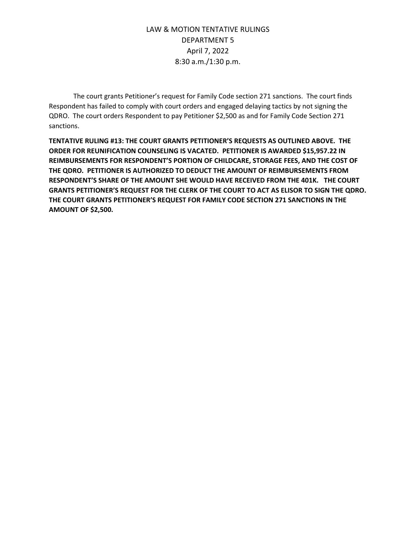The court grants Petitioner's request for Family Code section 271 sanctions. The court finds Respondent has failed to comply with court orders and engaged delaying tactics by not signing the QDRO. The court orders Respondent to pay Petitioner \$2,500 as and for Family Code Section 271 sanctions.

**TENTATIVE RULING #13: THE COURT GRANTS PETITIONER'S REQUESTS AS OUTLINED ABOVE. THE ORDER FOR REUNIFICATION COUNSELING IS VACATED. PETITIONER IS AWARDED \$15,957.22 IN REIMBURSEMENTS FOR RESPONDENT'S PORTION OF CHILDCARE, STORAGE FEES, AND THE COST OF THE QDRO. PETITIONER IS AUTHORIZED TO DEDUCT THE AMOUNT OF REIMBURSEMENTS FROM RESPONDENT'S SHARE OF THE AMOUNT SHE WOULD HAVE RECEIVED FROM THE 401K. THE COURT GRANTS PETITIONER'S REQUEST FOR THE CLERK OF THE COURT TO ACT AS ELISOR TO SIGN THE QDRO. THE COURT GRANTS PETITIONER'S REQUEST FOR FAMILY CODE SECTION 271 SANCTIONS IN THE AMOUNT OF \$2,500.**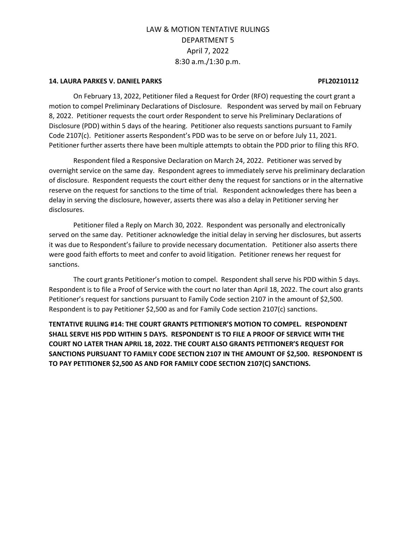### **14. LAURA PARKES V. DANIEL PARKS PFL20210112**

On February 13, 2022, Petitioner filed a Request for Order (RFO) requesting the court grant a motion to compel Preliminary Declarations of Disclosure. Respondent was served by mail on February 8, 2022. Petitioner requests the court order Respondent to serve his Preliminary Declarations of Disclosure (PDD) within 5 days of the hearing. Petitioner also requests sanctions pursuant to Family Code 2107(c). Petitioner asserts Respondent's PDD was to be serve on or before July 11, 2021. Petitioner further asserts there have been multiple attempts to obtain the PDD prior to filing this RFO.

Respondent filed a Responsive Declaration on March 24, 2022. Petitioner was served by overnight service on the same day. Respondent agrees to immediately serve his preliminary declaration of disclosure. Respondent requests the court either deny the request for sanctions or in the alternative reserve on the request for sanctions to the time of trial. Respondent acknowledges there has been a delay in serving the disclosure, however, asserts there was also a delay in Petitioner serving her disclosures.

Petitioner filed a Reply on March 30, 2022. Respondent was personally and electronically served on the same day. Petitioner acknowledge the initial delay in serving her disclosures, but asserts it was due to Respondent's failure to provide necessary documentation. Petitioner also asserts there were good faith efforts to meet and confer to avoid litigation. Petitioner renews her request for sanctions.

The court grants Petitioner's motion to compel. Respondent shall serve his PDD within 5 days. Respondent is to file a Proof of Service with the court no later than April 18, 2022. The court also grants Petitioner's request for sanctions pursuant to Family Code section 2107 in the amount of \$2,500. Respondent is to pay Petitioner \$2,500 as and for Family Code section 2107(c) sanctions.

**TENTATIVE RULING #14: THE COURT GRANTS PETITIONER'S MOTION TO COMPEL. RESPONDENT SHALL SERVE HIS PDD WITHIN 5 DAYS. RESPONDENT IS TO FILE A PROOF OF SERVICE WITH THE COURT NO LATER THAN APRIL 18, 2022. THE COURT ALSO GRANTS PETITIONER'S REQUEST FOR SANCTIONS PURSUANT TO FAMILY CODE SECTION 2107 IN THE AMOUNT OF \$2,500. RESPONDENT IS TO PAY PETITIONER \$2,500 AS AND FOR FAMILY CODE SECTION 2107(C) SANCTIONS.**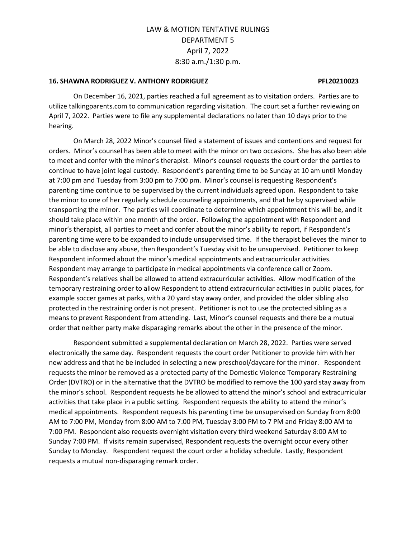### **16. SHAWNA RODRIGUEZ V. ANTHONY RODRIGUEZ PFL20210023**

On December 16, 2021, parties reached a full agreement as to visitation orders. Parties are to utilize talkingparents.com to communication regarding visitation. The court set a further reviewing on April 7, 2022. Parties were to file any supplemental declarations no later than 10 days prior to the hearing.

On March 28, 2022 Minor's counsel filed a statement of issues and contentions and request for orders. Minor's counsel has been able to meet with the minor on two occasions. She has also been able to meet and confer with the minor's therapist. Minor's counsel requests the court order the parties to continue to have joint legal custody. Respondent's parenting time to be Sunday at 10 am until Monday at 7:00 pm and Tuesday from 3:00 pm to 7:00 pm. Minor's counsel is requesting Respondent's parenting time continue to be supervised by the current individuals agreed upon. Respondent to take the minor to one of her regularly schedule counseling appointments, and that he by supervised while transporting the minor. The parties will coordinate to determine which appointment this will be, and it should take place within one month of the order. Following the appointment with Respondent and minor's therapist, all parties to meet and confer about the minor's ability to report, if Respondent's parenting time were to be expanded to include unsupervised time. If the therapist believes the minor to be able to disclose any abuse, then Respondent's Tuesday visit to be unsupervised. Petitioner to keep Respondent informed about the minor's medical appointments and extracurricular activities. Respondent may arrange to participate in medical appointments via conference call or Zoom. Respondent's relatives shall be allowed to attend extracurricular activities. Allow modification of the temporary restraining order to allow Respondent to attend extracurricular activities in public places, for example soccer games at parks, with a 20 yard stay away order, and provided the older sibling also protected in the restraining order is not present. Petitioner is not to use the protected sibling as a means to prevent Respondent from attending. Last, Minor's counsel requests and there be a mutual order that neither party make disparaging remarks about the other in the presence of the minor.

Respondent submitted a supplemental declaration on March 28, 2022. Parties were served electronically the same day. Respondent requests the court order Petitioner to provide him with her new address and that he be included in selecting a new preschool/daycare for the minor. Respondent requests the minor be removed as a protected party of the Domestic Violence Temporary Restraining Order (DVTRO) or in the alternative that the DVTRO be modified to remove the 100 yard stay away from the minor's school. Respondent requests he be allowed to attend the minor's school and extracurricular activities that take place in a public setting. Respondent requests the ability to attend the minor's medical appointments. Respondent requests his parenting time be unsupervised on Sunday from 8:00 AM to 7:00 PM, Monday from 8:00 AM to 7:00 PM, Tuesday 3:00 PM to 7 PM and Friday 8:00 AM to 7:00 PM. Respondent also requests overnight visitation every third weekend Saturday 8:00 AM to Sunday 7:00 PM. If visits remain supervised, Respondent requests the overnight occur every other Sunday to Monday. Respondent request the court order a holiday schedule. Lastly, Respondent requests a mutual non-disparaging remark order.